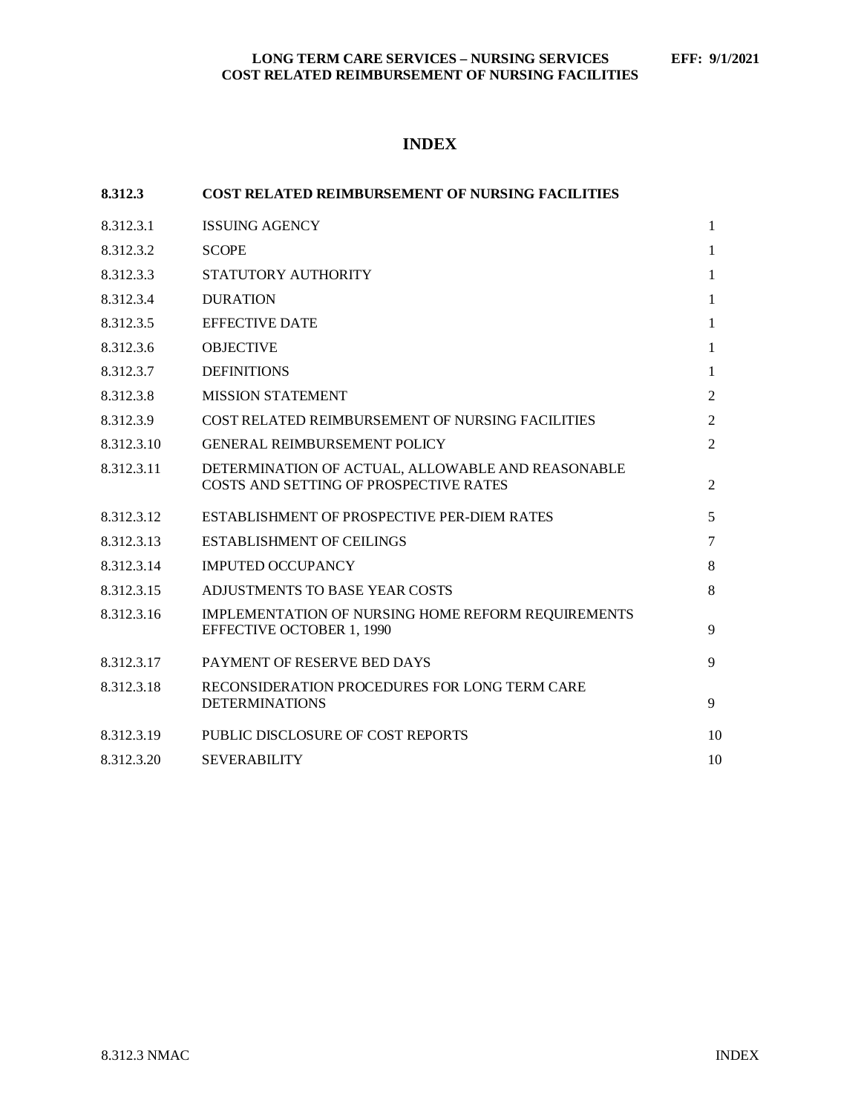# **INDEX**

| 8.312.3    | <b>COST RELATED REIMBURSEMENT OF NURSING FACILITIES</b>                                     |                |
|------------|---------------------------------------------------------------------------------------------|----------------|
| 8.312.3.1  | <b>ISSUING AGENCY</b>                                                                       | $\mathbf{1}$   |
| 8.312.3.2  | <b>SCOPE</b>                                                                                | 1              |
| 8.312.3.3  | STATUTORY AUTHORITY                                                                         | 1              |
| 8.312.3.4  | <b>DURATION</b>                                                                             | 1              |
| 8.312.3.5  | <b>EFFECTIVE DATE</b>                                                                       | 1              |
| 8.312.3.6  | <b>OBJECTIVE</b>                                                                            | 1              |
| 8.312.3.7  | <b>DEFINITIONS</b>                                                                          | 1              |
| 8.312.3.8  | <b>MISSION STATEMENT</b>                                                                    | 2              |
| 8.312.3.9  | COST RELATED REIMBURSEMENT OF NURSING FACILITIES                                            | 2              |
| 8.312.3.10 | <b>GENERAL REIMBURSEMENT POLICY</b>                                                         | $\mathfrak{D}$ |
| 8.312.3.11 | DETERMINATION OF ACTUAL, ALLOWABLE AND REASONABLE<br>COSTS AND SETTING OF PROSPECTIVE RATES | 2              |
| 8.312.3.12 | ESTABLISHMENT OF PROSPECTIVE PER-DIEM RATES                                                 | 5              |
| 8.312.3.13 | <b>ESTABLISHMENT OF CEILINGS</b>                                                            | $\tau$         |
| 8.312.3.14 | <b>IMPUTED OCCUPANCY</b>                                                                    | 8              |
| 8.312.3.15 | ADJUSTMENTS TO BASE YEAR COSTS                                                              | 8              |
| 8.312.3.16 | IMPLEMENTATION OF NURSING HOME REFORM REQUIREMENTS<br><b>EFFECTIVE OCTOBER 1, 1990</b>      | 9              |
| 8.312.3.17 | PAYMENT OF RESERVE BED DAYS                                                                 | 9              |
| 8.312.3.18 | RECONSIDERATION PROCEDURES FOR LONG TERM CARE<br><b>DETERMINATIONS</b>                      | 9              |
| 8.312.3.19 | PUBLIC DISCLOSURE OF COST REPORTS                                                           | 10             |
| 8.312.3.20 | <b>SEVERABILITY</b>                                                                         | 10             |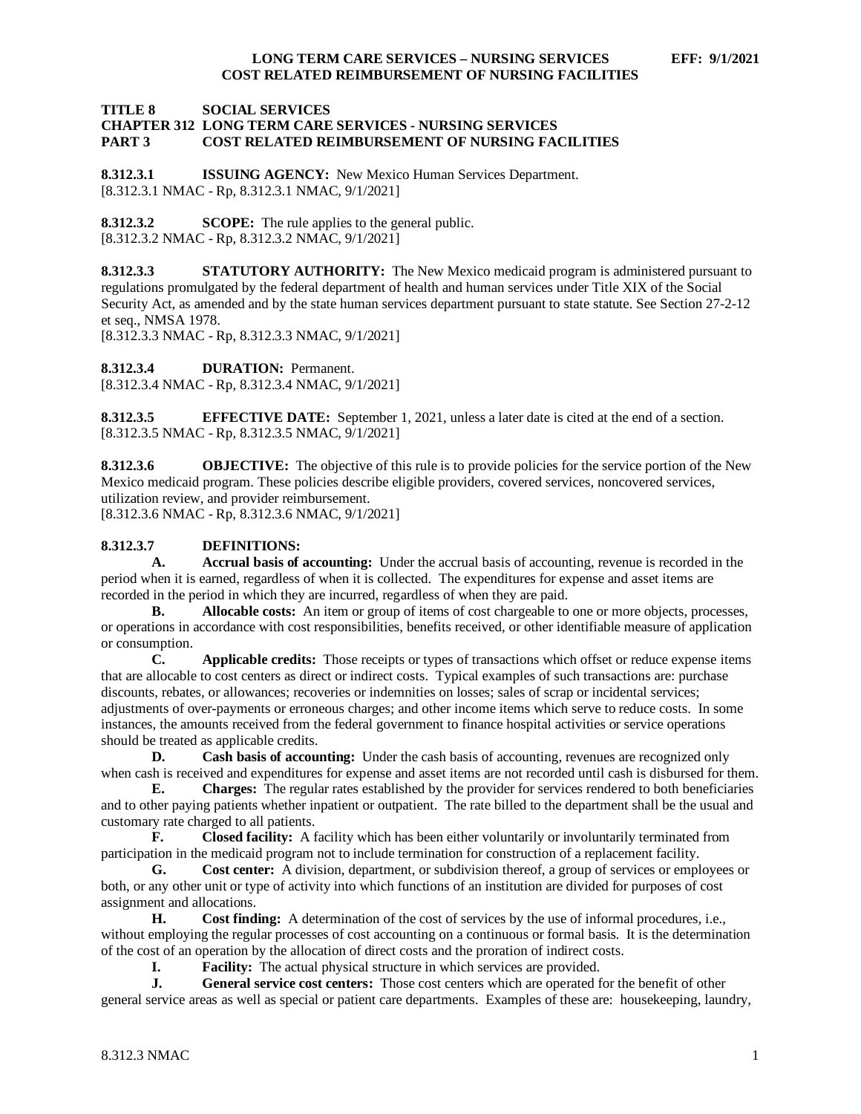#### **TITLE 8 SOCIAL SERVICES CHAPTER 312 LONG TERM CARE SERVICES - NURSING SERVICES PART 3 COST RELATED REIMBURSEMENT OF NURSING FACILITIES**

<span id="page-1-0"></span>**8.312.3.1 ISSUING AGENCY:** New Mexico Human Services Department. [8.312.3.1 NMAC - Rp, 8.312.3.1 NMAC, 9/1/2021]

<span id="page-1-1"></span>**8.312.3.2 SCOPE:** The rule applies to the general public. [8.312.3.2 NMAC - Rp, 8.312.3.2 NMAC, 9/1/2021]

<span id="page-1-2"></span>**8.312.3.3 STATUTORY AUTHORITY:** The New Mexico medicaid program is administered pursuant to regulations promulgated by the federal department of health and human services under Title XIX of the Social Security Act, as amended and by the state human services department pursuant to state statute. See Section 27-2-12 et seq., NMSA 1978.

[8.312.3.3 NMAC - Rp, 8.312.3.3 NMAC, 9/1/2021]

<span id="page-1-3"></span>**8.312.3.4 DURATION:** Permanent.

[8.312.3.4 NMAC - Rp, 8.312.3.4 NMAC, 9/1/2021]

<span id="page-1-4"></span>**8.312.3.5 EFFECTIVE DATE:** September 1, 2021, unless a later date is cited at the end of a section. [8.312.3.5 NMAC - Rp, 8.312.3.5 NMAC, 9/1/2021]

<span id="page-1-5"></span>**8.312.3.6 OBJECTIVE:** The objective of this rule is to provide policies for the service portion of the New Mexico medicaid program. These policies describe eligible providers, covered services, noncovered services, utilization review, and provider reimbursement. [8.312.3.6 NMAC - Rp, 8.312.3.6 NMAC, 9/1/2021]

# <span id="page-1-6"></span>**8.312.3.7 DEFINITIONS:**

**A. Accrual basis of accounting:** Under the accrual basis of accounting, revenue is recorded in the period when it is earned, regardless of when it is collected. The expenditures for expense and asset items are recorded in the period in which they are incurred, regardless of when they are paid.

**B. Allocable costs:** An item or group of items of cost chargeable to one or more objects, processes, or operations in accordance with cost responsibilities, benefits received, or other identifiable measure of application or consumption.

**C. Applicable credits:** Those receipts or types of transactions which offset or reduce expense items that are allocable to cost centers as direct or indirect costs. Typical examples of such transactions are: purchase discounts, rebates, or allowances; recoveries or indemnities on losses; sales of scrap or incidental services; adjustments of over-payments or erroneous charges; and other income items which serve to reduce costs. In some instances, the amounts received from the federal government to finance hospital activities or service operations should be treated as applicable credits.

**D. Cash basis of accounting:** Under the cash basis of accounting, revenues are recognized only when cash is received and expenditures for expense and asset items are not recorded until cash is disbursed for them.

**E. Charges:** The regular rates established by the provider for services rendered to both beneficiaries and to other paying patients whether inpatient or outpatient. The rate billed to the department shall be the usual and customary rate charged to all patients.<br> **F.** Closed facility: A f

**F. Closed facility:** A facility which has been either voluntarily or involuntarily terminated from participation in the medicaid program not to include termination for construction of a replacement facility.

**G. Cost center:** A division, department, or subdivision thereof, a group of services or employees or both, or any other unit or type of activity into which functions of an institution are divided for purposes of cost assignment and allocations.

**H. Cost finding:** A determination of the cost of services by the use of informal procedures, i.e., without employing the regular processes of cost accounting on a continuous or formal basis. It is the determination of the cost of an operation by the allocation of direct costs and the proration of indirect costs.

**I. Facility:** The actual physical structure in which services are provided.

**J. General service cost centers:** Those cost centers which are operated for the benefit of other general service areas as well as special or patient care departments. Examples of these are: housekeeping, laundry,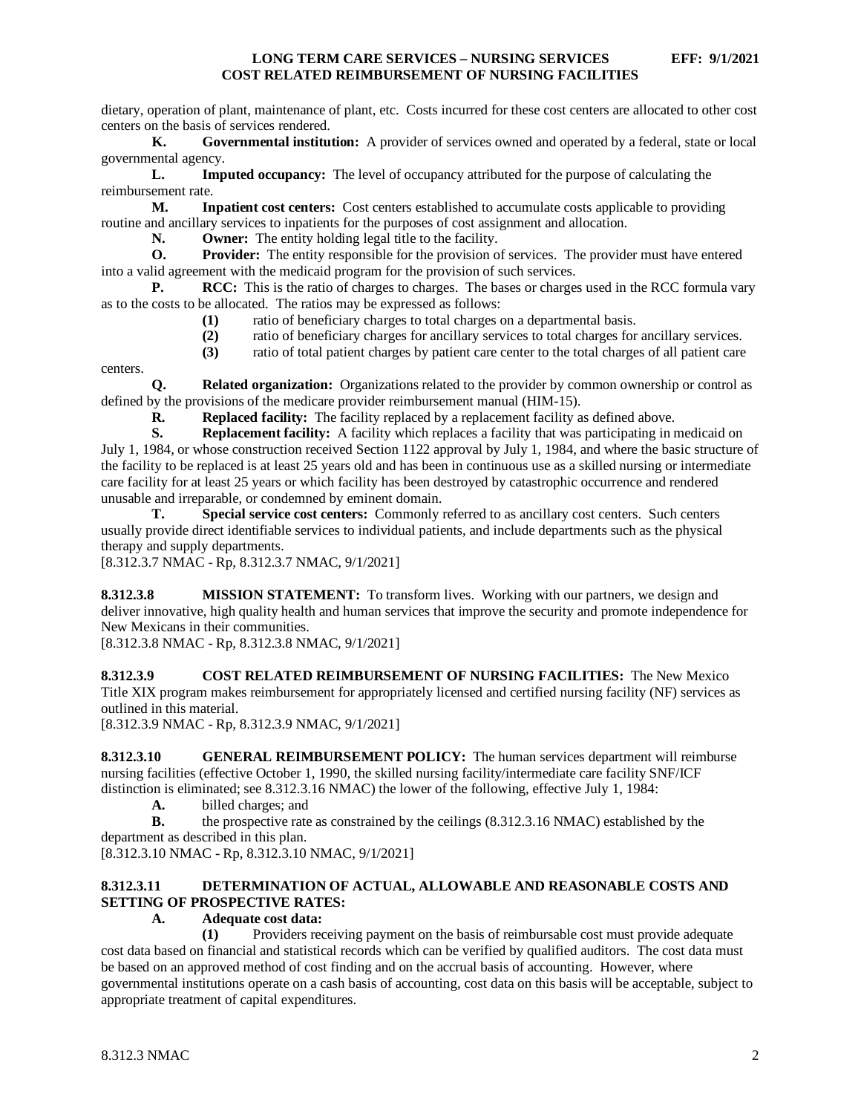dietary, operation of plant, maintenance of plant, etc. Costs incurred for these cost centers are allocated to other cost centers on the basis of services rendered.

**K. Governmental institution:** A provider of services owned and operated by a federal, state or local governmental agency.

**L. Imputed occupancy:** The level of occupancy attributed for the purpose of calculating the reimbursement rate.

**M. Inpatient cost centers:** Cost centers established to accumulate costs applicable to providing routine and ancillary services to inpatients for the purposes of cost assignment and allocation.<br>
N. Owner: The entity holding legal title to the facility.

**N. Owner:** The entity holding legal title to the facility.<br>**O. Provider:** The entity responsible for the provision of

**Provider:** The entity responsible for the provision of services. The provider must have entered into a valid agreement with the medicaid program for the provision of such services.

**P. RCC:** This is the ratio of charges to charges. The bases or charges used in the RCC formula vary as to the costs to be allocated. The ratios may be expressed as follows:

- **(1)** ratio of beneficiary charges to total charges on a departmental basis.
- **(2)** ratio of beneficiary charges for ancillary services to total charges for ancillary services.
- **(3)** ratio of total patient charges by patient care center to the total charges of all patient care

centers.

**Q. Related organization:** Organizations related to the provider by common ownership or control as defined by the provisions of the medicare provider reimbursement manual (HIM-15).

**R. Replaced facility:** The facility replaced by a replacement facility as defined above.<br> **Replacement facility:** A facility which replaces a facility that was participating in **r** 

**S. Replacement facility:** A facility which replaces a facility that was participating in medicaid on July 1, 1984, or whose construction received Section 1122 approval by July 1, 1984, and where the basic structure of the facility to be replaced is at least 25 years old and has been in continuous use as a skilled nursing or intermediate care facility for at least 25 years or which facility has been destroyed by catastrophic occurrence and rendered unusable and irreparable, or condemned by eminent domain.

**T. Special service cost centers:** Commonly referred to as ancillary cost centers. Such centers usually provide direct identifiable services to individual patients, and include departments such as the physical therapy and supply departments.

[8.312.3.7 NMAC - Rp, 8.312.3.7 NMAC, 9/1/2021]

<span id="page-2-0"></span>**8.312.3.8 MISSION STATEMENT:** To transform lives. Working with our partners, we design and deliver innovative, high quality health and human services that improve the security and promote independence for New Mexicans in their communities.

[8.312.3.8 NMAC - Rp, 8.312.3.8 NMAC, 9/1/2021]

<span id="page-2-1"></span>**8.312.3.9 COST RELATED REIMBURSEMENT OF NURSING FACILITIES:** The New Mexico Title XIX program makes reimbursement for appropriately licensed and certified nursing facility (NF) services as outlined in this material.

[8.312.3.9 NMAC - Rp, 8.312.3.9 NMAC, 9/1/2021]

<span id="page-2-2"></span>**8.312.3.10 GENERAL REIMBURSEMENT POLICY:** The human services department will reimburse nursing facilities (effective October 1, 1990, the skilled nursing facility/intermediate care facility SNF/ICF distinction is eliminated; see 8.312.3.16 NMAC) the lower of the following, effective July 1, 1984:

**A.** billed charges; and

**B.** the prospective rate as constrained by the ceilings (8.312.3.16 NMAC) established by the department as described in this plan.

[8.312.3.10 NMAC - Rp, 8.312.3.10 NMAC, 9/1/2021]

# <span id="page-2-3"></span>**8.312.3.11 DETERMINATION OF ACTUAL, ALLOWABLE AND REASONABLE COSTS AND SETTING OF PROSPECTIVE RATES:**

#### **A. Adequate cost data:**

**(1)** Providers receiving payment on the basis of reimbursable cost must provide adequate cost data based on financial and statistical records which can be verified by qualified auditors. The cost data must be based on an approved method of cost finding and on the accrual basis of accounting. However, where governmental institutions operate on a cash basis of accounting, cost data on this basis will be acceptable, subject to appropriate treatment of capital expenditures.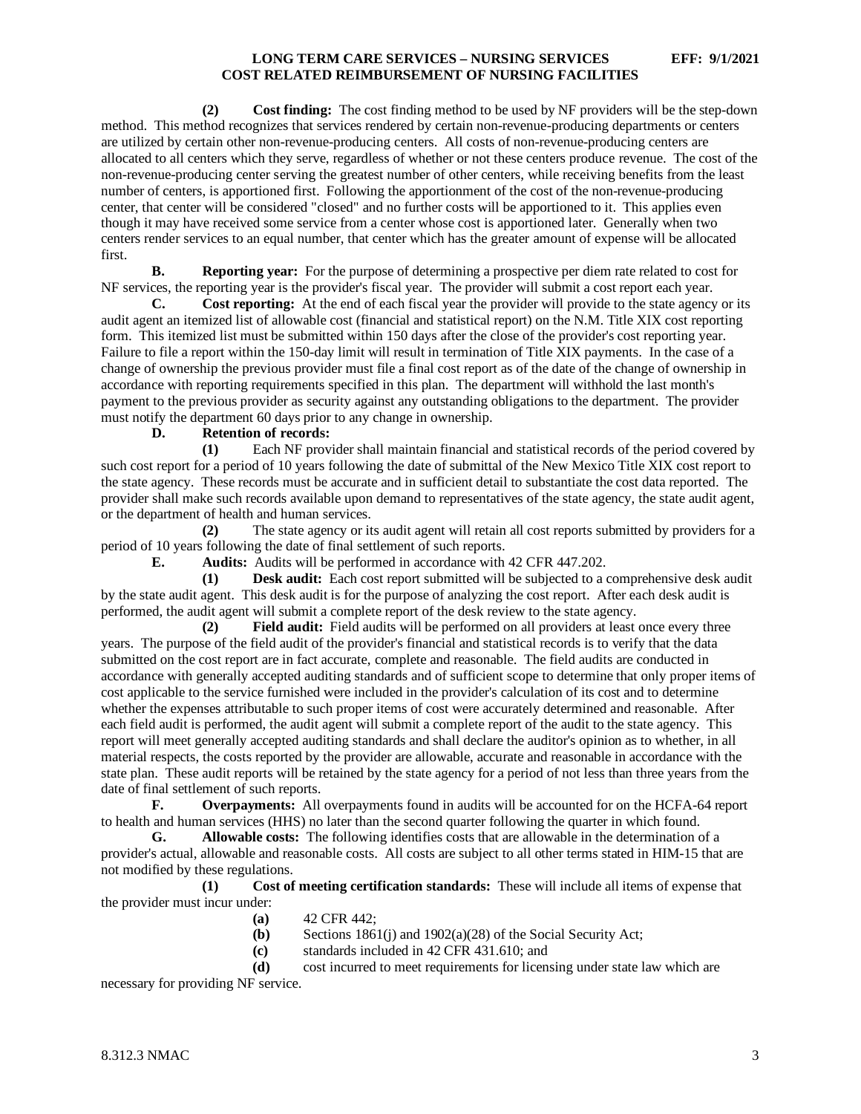**(2) Cost finding:** The cost finding method to be used by NF providers will be the step-down method. This method recognizes that services rendered by certain non-revenue-producing departments or centers are utilized by certain other non-revenue-producing centers. All costs of non-revenue-producing centers are allocated to all centers which they serve, regardless of whether or not these centers produce revenue. The cost of the non-revenue-producing center serving the greatest number of other centers, while receiving benefits from the least number of centers, is apportioned first. Following the apportionment of the cost of the non-revenue-producing center, that center will be considered "closed" and no further costs will be apportioned to it. This applies even though it may have received some service from a center whose cost is apportioned later. Generally when two centers render services to an equal number, that center which has the greater amount of expense will be allocated first.

**B. Reporting year:** For the purpose of determining a prospective per diem rate related to cost for NF services, the reporting year is the provider's fiscal year. The provider will submit a cost report each year.

**C. Cost reporting:** At the end of each fiscal year the provider will provide to the state agency or its audit agent an itemized list of allowable cost (financial and statistical report) on the N.M. Title XIX cost reporting form. This itemized list must be submitted within 150 days after the close of the provider's cost reporting year. Failure to file a report within the 150-day limit will result in termination of Title XIX payments. In the case of a change of ownership the previous provider must file a final cost report as of the date of the change of ownership in accordance with reporting requirements specified in this plan. The department will withhold the last month's payment to the previous provider as security against any outstanding obligations to the department. The provider must notify the department 60 days prior to any change in ownership.

**D. Retention of records:**

**(1)** Each NF provider shall maintain financial and statistical records of the period covered by such cost report for a period of 10 years following the date of submittal of the New Mexico Title XIX cost report to the state agency. These records must be accurate and in sufficient detail to substantiate the cost data reported. The provider shall make such records available upon demand to representatives of the state agency, the state audit agent, or the department of health and human services.

**(2)** The state agency or its audit agent will retain all cost reports submitted by providers for a period of 10 years following the date of final settlement of such reports.

**E. Audits:** Audits will be performed in accordance with 42 CFR 447.202.

**(1) Desk audit:** Each cost report submitted will be subjected to a comprehensive desk audit by the state audit agent. This desk audit is for the purpose of analyzing the cost report. After each desk audit is performed, the audit agent will submit a complete report of the desk review to the state agency.

**(2) Field audit:** Field audits will be performed on all providers at least once every three years. The purpose of the field audit of the provider's financial and statistical records is to verify that the data submitted on the cost report are in fact accurate, complete and reasonable. The field audits are conducted in accordance with generally accepted auditing standards and of sufficient scope to determine that only proper items of cost applicable to the service furnished were included in the provider's calculation of its cost and to determine whether the expenses attributable to such proper items of cost were accurately determined and reasonable. After each field audit is performed, the audit agent will submit a complete report of the audit to the state agency. This report will meet generally accepted auditing standards and shall declare the auditor's opinion as to whether, in all material respects, the costs reported by the provider are allowable, accurate and reasonable in accordance with the state plan. These audit reports will be retained by the state agency for a period of not less than three years from the date of final settlement of such reports.

**F. Overpayments:** All overpayments found in audits will be accounted for on the HCFA-64 report to health and human services (HHS) no later than the second quarter following the quarter in which found.

**G. Allowable costs:** The following identifies costs that are allowable in the determination of a provider's actual, allowable and reasonable costs. All costs are subject to all other terms stated in HIM-15 that are not modified by these regulations.

**(1) Cost of meeting certification standards:** These will include all items of expense that the provider must incur under:

- **(a)** 42 CFR 442;
- **(b)** Sections 1861(j) and 1902(a)(28) of the Social Security Act;
- **(c)** standards included in 42 CFR 431.610; and

**(d)** cost incurred to meet requirements for licensing under state law which are necessary for providing NF service.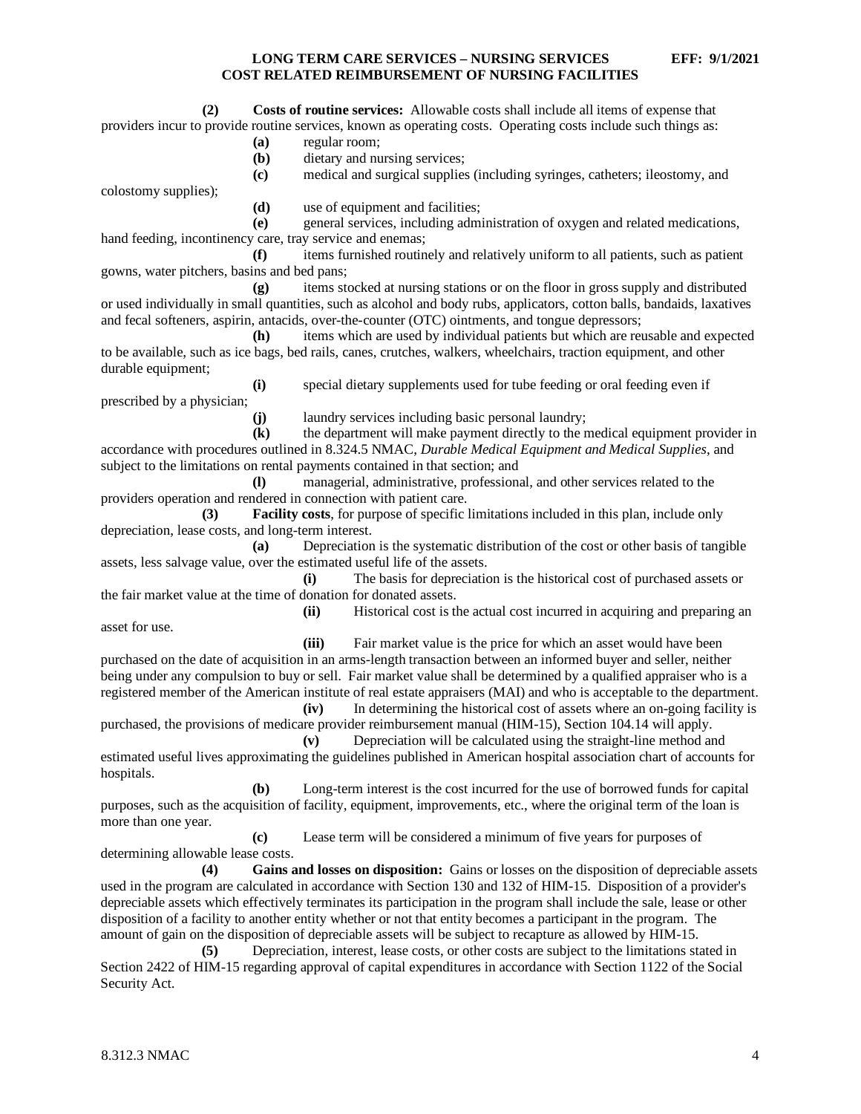**(2) Costs of routine services:** Allowable costs shall include all items of expense that providers incur to provide routine services, known as operating costs. Operating costs include such things as:

- **(a)** regular room;
- **(b)** dietary and nursing services;
- **(c)** medical and surgical supplies (including syringes, catheters; ileostomy, and

colostomy supplies);

**(d)** use of equipment and facilities;

**(e)** general services, including administration of oxygen and related medications, hand feeding, incontinency care, tray service and enemas;

**(f)** items furnished routinely and relatively uniform to all patients, such as patient gowns, water pitchers, basins and bed pans;

**(g)** items stocked at nursing stations or on the floor in gross supply and distributed or used individually in small quantities, such as alcohol and body rubs, applicators, cotton balls, bandaids, laxatives and fecal softeners, aspirin, antacids, over-the-counter (OTC) ointments, and tongue depressors;

**(h)** items which are used by individual patients but which are reusable and expected to be available, such as ice bags, bed rails, canes, crutches, walkers, wheelchairs, traction equipment, and other durable equipment;

**(i)** special dietary supplements used for tube feeding or oral feeding even if

prescribed by a physician;

**(j)** laundry services including basic personal laundry;

**(k)** the department will make payment directly to the medical equipment provider in accordance with procedures outlined in 8.324.5 NMAC, *Durable Medical Equipment and Medical Supplies*, and subject to the limitations on rental payments contained in that section; and

**(l)** managerial, administrative, professional, and other services related to the providers operation and rendered in connection with patient care.

**(3) Facility costs**, for purpose of specific limitations included in this plan, include only depreciation, lease costs, and long-term interest.

**(a)** Depreciation is the systematic distribution of the cost or other basis of tangible assets, less salvage value, over the estimated useful life of the assets.

**(i)** The basis for depreciation is the historical cost of purchased assets or the fair market value at the time of donation for donated assets.

asset for use.

**(ii)** Historical cost is the actual cost incurred in acquiring and preparing an

**(iii)** Fair market value is the price for which an asset would have been purchased on the date of acquisition in an arms-length transaction between an informed buyer and seller, neither being under any compulsion to buy or sell. Fair market value shall be determined by a qualified appraiser who is a registered member of the American institute of real estate appraisers (MAI) and who is acceptable to the department.

**(iv)** In determining the historical cost of assets where an on-going facility is purchased, the provisions of medicare provider reimbursement manual (HIM-15), Section 104.14 will apply.

**(v)** Depreciation will be calculated using the straight-line method and estimated useful lives approximating the guidelines published in American hospital association chart of accounts for hospitals.

**(b)** Long-term interest is the cost incurred for the use of borrowed funds for capital purposes, such as the acquisition of facility, equipment, improvements, etc., where the original term of the loan is more than one year.

**(c)** Lease term will be considered a minimum of five years for purposes of determining allowable lease costs.

**(4) Gains and losses on disposition:** Gains or losses on the disposition of depreciable assets used in the program are calculated in accordance with Section 130 and 132 of HIM-15. Disposition of a provider's depreciable assets which effectively terminates its participation in the program shall include the sale, lease or other disposition of a facility to another entity whether or not that entity becomes a participant in the program. The amount of gain on the disposition of depreciable assets will be subject to recapture as allowed by HIM-15.

**(5)** Depreciation, interest, lease costs, or other costs are subject to the limitations stated in Section 2422 of HIM-15 regarding approval of capital expenditures in accordance with Section 1122 of the Social Security Act.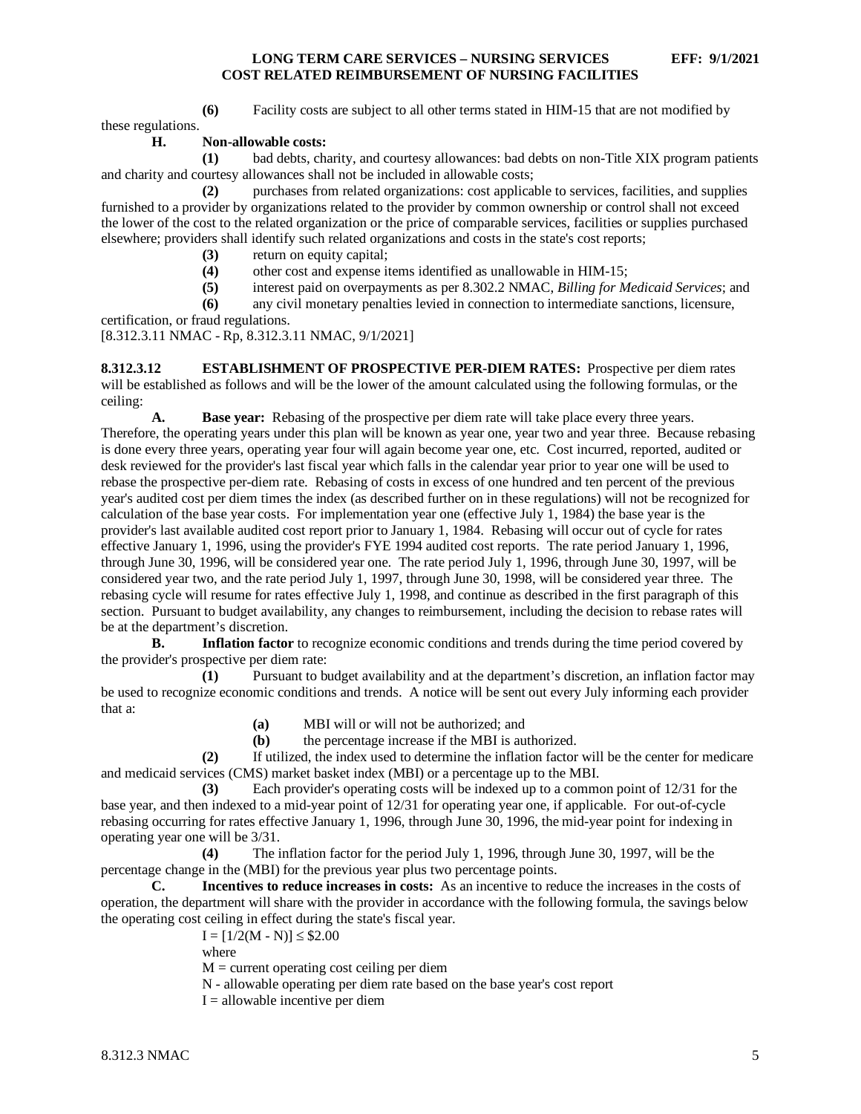**(6)** Facility costs are subject to all other terms stated in HIM-15 that are not modified by

these regulations.

#### **H. Non-allowable costs:**

**(1)** bad debts, charity, and courtesy allowances: bad debts on non-Title XIX program patients and charity and courtesy allowances shall not be included in allowable costs;

**(2)** purchases from related organizations: cost applicable to services, facilities, and supplies furnished to a provider by organizations related to the provider by common ownership or control shall not exceed the lower of the cost to the related organization or the price of comparable services, facilities or supplies purchased elsewhere; providers shall identify such related organizations and costs in the state's cost reports;

- **(3)** return on equity capital;
- **(4)** other cost and expense items identified as unallowable in HIM-15;
- **(5)** interest paid on overpayments as per 8.302.2 NMAC, *Billing for Medicaid Services*; and
- **(6)** any civil monetary penalties levied in connection to intermediate sanctions, licensure,

certification, or fraud regulations.

[8.312.3.11 NMAC - Rp, 8.312.3.11 NMAC, 9/1/2021]

<span id="page-5-0"></span>**8.312.3.12 ESTABLISHMENT OF PROSPECTIVE PER-DIEM RATES:** Prospective per diem rates will be established as follows and will be the lower of the amount calculated using the following formulas, or the ceiling:

**A. Base year:** Rebasing of the prospective per diem rate will take place every three years. Therefore, the operating years under this plan will be known as year one, year two and year three. Because rebasing is done every three years, operating year four will again become year one, etc. Cost incurred, reported, audited or desk reviewed for the provider's last fiscal year which falls in the calendar year prior to year one will be used to rebase the prospective per-diem rate. Rebasing of costs in excess of one hundred and ten percent of the previous year's audited cost per diem times the index (as described further on in these regulations) will not be recognized for calculation of the base year costs. For implementation year one (effective July 1, 1984) the base year is the provider's last available audited cost report prior to January 1, 1984. Rebasing will occur out of cycle for rates effective January 1, 1996, using the provider's FYE 1994 audited cost reports. The rate period January 1, 1996, through June 30, 1996, will be considered year one. The rate period July 1, 1996, through June 30, 1997, will be considered year two, and the rate period July 1, 1997, through June 30, 1998, will be considered year three. The rebasing cycle will resume for rates effective July 1, 1998, and continue as described in the first paragraph of this section. Pursuant to budget availability, any changes to reimbursement, including the decision to rebase rates will be at the department's discretion.

**B.** Inflation factor to recognize economic conditions and trends during the time period covered by the provider's prospective per diem rate:

**(1)** Pursuant to budget availability and at the department's discretion, an inflation factor may be used to recognize economic conditions and trends. A notice will be sent out every July informing each provider that a:

**(a)** MBI will or will not be authorized; and

**(b)** the percentage increase if the MBI is authorized.

**(2)** If utilized, the index used to determine the inflation factor will be the center for medicare and medicaid services (CMS) market basket index (MBI) or a percentage up to the MBI.

**(3)** Each provider's operating costs will be indexed up to a common point of 12/31 for the base year, and then indexed to a mid-year point of 12/31 for operating year one, if applicable. For out-of-cycle rebasing occurring for rates effective January 1, 1996, through June 30, 1996, the mid-year point for indexing in operating year one will be 3/31.

**(4)** The inflation factor for the period July 1, 1996, through June 30, 1997, will be the percentage change in the (MBI) for the previous year plus two percentage points.

**C. Incentives to reduce increases in costs:** As an incentive to reduce the increases in the costs of operation, the department will share with the provider in accordance with the following formula, the savings below the operating cost ceiling in effect during the state's fiscal year.

 $I = [1/2(M - N)] \leq $2.00$ 

where

 $M =$  current operating cost ceiling per diem

N - allowable operating per diem rate based on the base year's cost report

 $I =$  allowable incentive per diem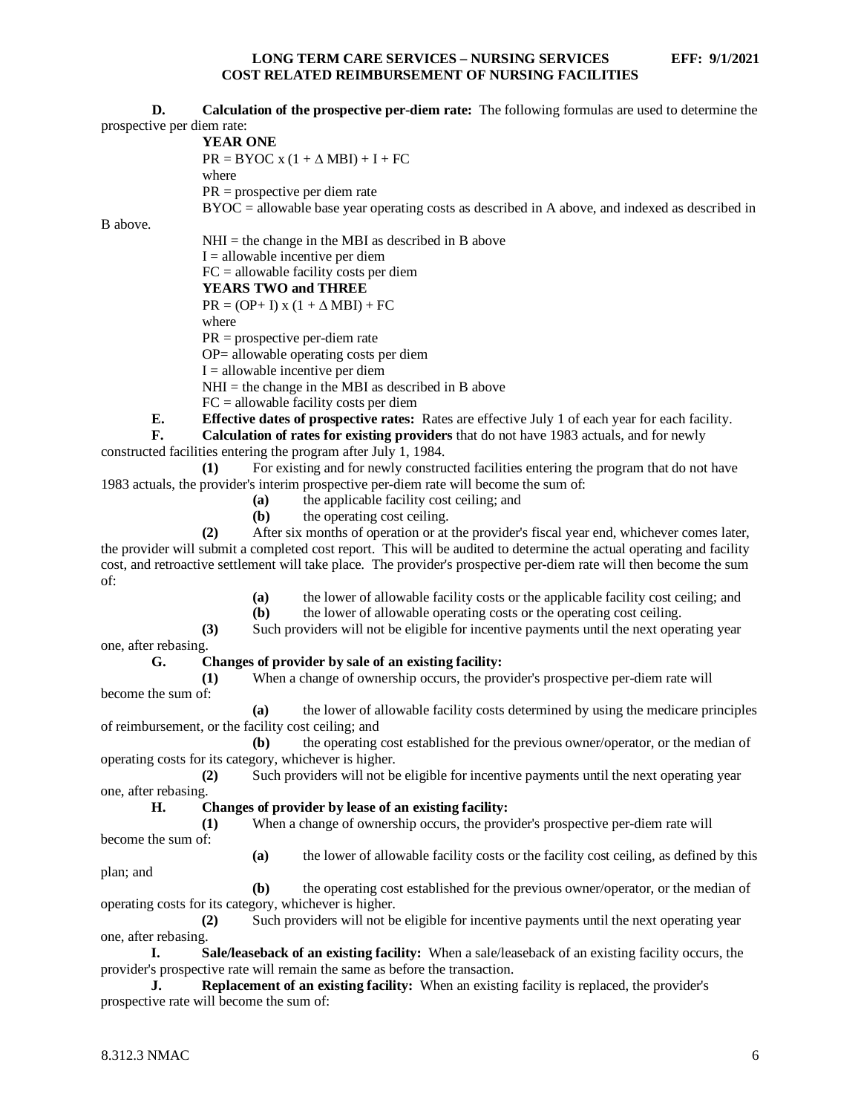**D. Calculation of the prospective per-diem rate:** The following formulas are used to determine the prospective per diem rate:

#### **YEAR ONE**

 $PR = BYOC x (1 + \Delta MBI) + I + FC$ where

PR = prospective per diem rate

BYOC = allowable base year operating costs as described in A above, and indexed as described in

B above.

 $NHI =$  the change in the MBI as described in B above  $I =$  allowable incentive per diem FC = allowable facility costs per diem **YEARS TWO and THREE**

 $PR = (OP + I)x (1 + \Lambda MBI) + FC$ 

where

PR = prospective per-diem rate

OP= allowable operating costs per diem

 $I =$  allowable incentive per diem

 $NHI =$  the change in the MBI as described in B above

FC = allowable facility costs per diem

**E. Effective dates of prospective rates:** Rates are effective July 1 of each year for each facility.

**F. Calculation of rates for existing providers** that do not have 1983 actuals, and for newly constructed facilities entering the program after July 1, 1984.

**(1)** For existing and for newly constructed facilities entering the program that do not have 1983 actuals, the provider's interim prospective per-diem rate will become the sum of:

- **(a)** the applicable facility cost ceiling; and
- **(b)** the operating cost ceiling.

**(2)** After six months of operation or at the provider's fiscal year end, whichever comes later, the provider will submit a completed cost report. This will be audited to determine the actual operating and facility cost, and retroactive settlement will take place. The provider's prospective per-diem rate will then become the sum of:

**(a)** the lower of allowable facility costs or the applicable facility cost ceiling; and

**(b)** the lower of allowable operating costs or the operating cost ceiling.

**(3)** Such providers will not be eligible for incentive payments until the next operating year

# one, after rebasing.

**G. Changes of provider by sale of an existing facility:**

**(1)** When a change of ownership occurs, the provider's prospective per-diem rate will become the sum of:

**(a)** the lower of allowable facility costs determined by using the medicare principles of reimbursement, or the facility cost ceiling; and

**(b)** the operating cost established for the previous owner/operator, or the median of operating costs for its category, whichever is higher.

**(2)** Such providers will not be eligible for incentive payments until the next operating year one, after rebasing.

#### **H. Changes of provider by lease of an existing facility:**

**(1)** When a change of ownership occurs, the provider's prospective per-diem rate will become the sum of:

**(a)** the lower of allowable facility costs or the facility cost ceiling, as defined by this plan; and

**(b)** the operating cost established for the previous owner/operator, or the median of operating costs for its category, whichever is higher.

**(2)** Such providers will not be eligible for incentive payments until the next operating year one, after rebasing.

**I. Sale/leaseback of an existing facility:** When a sale/leaseback of an existing facility occurs, the provider's prospective rate will remain the same as before the transaction.

**J. Replacement of an existing facility:** When an existing facility is replaced, the provider's prospective rate will become the sum of: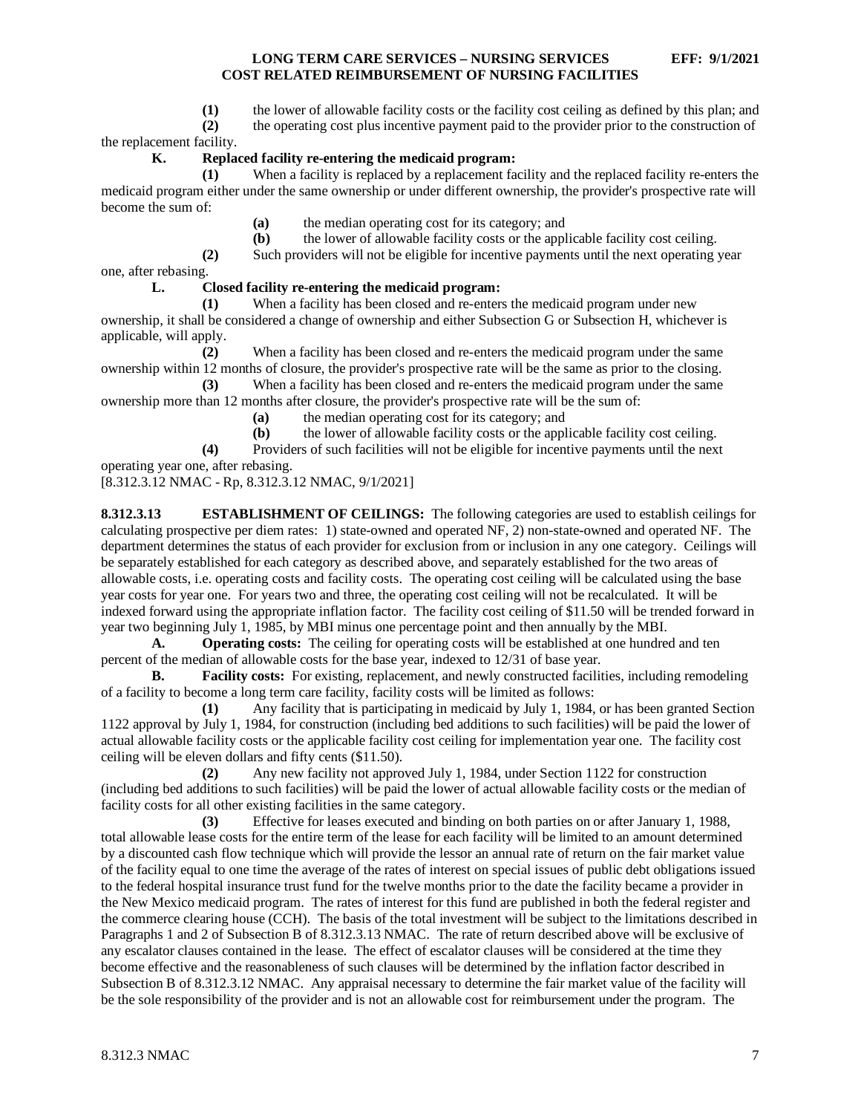**(1)** the lower of allowable facility costs or the facility cost ceiling as defined by this plan; and

**(2)** the operating cost plus incentive payment paid to the provider prior to the construction of

the replacement facility.

# **K. Replaced facility re-entering the medicaid program:**

**(1)** When a facility is replaced by a replacement facility and the replaced facility re-enters the medicaid program either under the same ownership or under different ownership, the provider's prospective rate will become the sum of:

**(a)** the median operating cost for its category; and **(b)** the lower of allowable facility costs or the appl

**(b)** the lower of allowable facility costs or the applicable facility cost ceiling.

**(2)** Such providers will not be eligible for incentive payments until the next operating year

one, after rebasing.

# **L. Closed facility re-entering the medicaid program:**

**(1)** When a facility has been closed and re-enters the medicaid program under new ownership, it shall be considered a change of ownership and either Subsection G or Subsection H, whichever is applicable, will apply.

**(2)** When a facility has been closed and re-enters the medicaid program under the same ownership within 12 months of closure, the provider's prospective rate will be the same as prior to the closing. **(3)** When a facility has been closed and re-enters the medicaid program under the same

ownership more than 12 months after closure, the provider's prospective rate will be the sum of:

**(a)** the median operating cost for its category; and

**(b)** the lower of allowable facility costs or the applicable facility cost ceiling.

**(4)** Providers of such facilities will not be eligible for incentive payments until the next

operating year one, after rebasing.

[8.312.3.12 NMAC - Rp, 8.312.3.12 NMAC, 9/1/2021]

<span id="page-7-0"></span>**8.312.3.13 ESTABLISHMENT OF CEILINGS:** The following categories are used to establish ceilings for calculating prospective per diem rates: 1) state-owned and operated NF, 2) non-state-owned and operated NF. The department determines the status of each provider for exclusion from or inclusion in any one category. Ceilings will be separately established for each category as described above, and separately established for the two areas of allowable costs, i.e. operating costs and facility costs. The operating cost ceiling will be calculated using the base year costs for year one. For years two and three, the operating cost ceiling will not be recalculated. It will be indexed forward using the appropriate inflation factor. The facility cost ceiling of \$11.50 will be trended forward in year two beginning July 1, 1985, by MBI minus one percentage point and then annually by the MBI.

**A. Operating costs:** The ceiling for operating costs will be established at one hundred and ten percent of the median of allowable costs for the base year, indexed to 12/31 of base year.

**Facility costs:** For existing, replacement, and newly constructed facilities, including remodeling of a facility to become a long term care facility, facility costs will be limited as follows:

**(1)** Any facility that is participating in medicaid by July 1, 1984, or has been granted Section 1122 approval by July 1, 1984, for construction (including bed additions to such facilities) will be paid the lower of actual allowable facility costs or the applicable facility cost ceiling for implementation year one. The facility cost ceiling will be eleven dollars and fifty cents (\$11.50).

**(2)** Any new facility not approved July 1, 1984, under Section 1122 for construction (including bed additions to such facilities) will be paid the lower of actual allowable facility costs or the median of facility costs for all other existing facilities in the same category.

**(3)** Effective for leases executed and binding on both parties on or after January 1, 1988, total allowable lease costs for the entire term of the lease for each facility will be limited to an amount determined by a discounted cash flow technique which will provide the lessor an annual rate of return on the fair market value of the facility equal to one time the average of the rates of interest on special issues of public debt obligations issued to the federal hospital insurance trust fund for the twelve months prior to the date the facility became a provider in the New Mexico medicaid program. The rates of interest for this fund are published in both the federal register and the commerce clearing house (CCH). The basis of the total investment will be subject to the limitations described in Paragraphs 1 and 2 of Subsection B of 8.312.3.13 NMAC. The rate of return described above will be exclusive of any escalator clauses contained in the lease. The effect of escalator clauses will be considered at the time they become effective and the reasonableness of such clauses will be determined by the inflation factor described in Subsection B of 8.312.3.12 NMAC. Any appraisal necessary to determine the fair market value of the facility will be the sole responsibility of the provider and is not an allowable cost for reimbursement under the program. The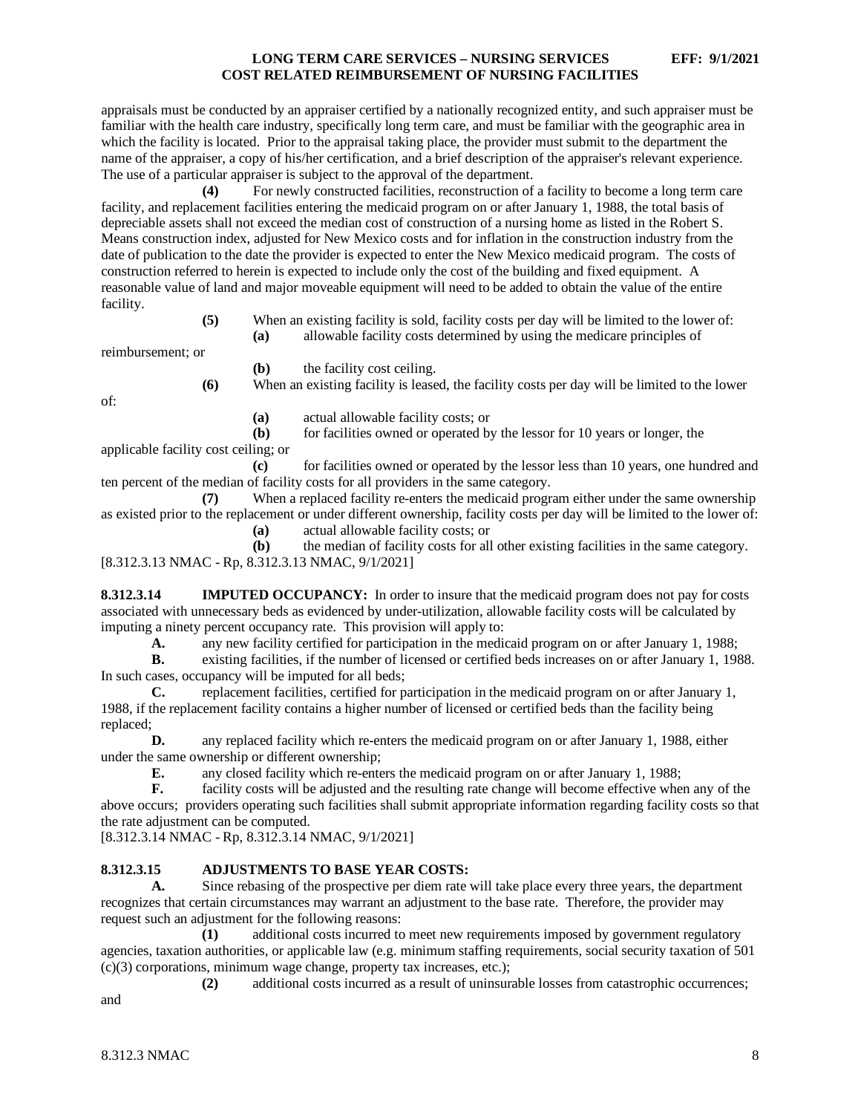appraisals must be conducted by an appraiser certified by a nationally recognized entity, and such appraiser must be familiar with the health care industry, specifically long term care, and must be familiar with the geographic area in which the facility is located. Prior to the appraisal taking place, the provider must submit to the department the name of the appraiser, a copy of his/her certification, and a brief description of the appraiser's relevant experience. The use of a particular appraiser is subject to the approval of the department.

**(4)** For newly constructed facilities, reconstruction of a facility to become a long term care facility, and replacement facilities entering the medicaid program on or after January 1, 1988, the total basis of depreciable assets shall not exceed the median cost of construction of a nursing home as listed in the Robert S. Means construction index, adjusted for New Mexico costs and for inflation in the construction industry from the date of publication to the date the provider is expected to enter the New Mexico medicaid program. The costs of construction referred to herein is expected to include only the cost of the building and fixed equipment. A reasonable value of land and major moveable equipment will need to be added to obtain the value of the entire facility.

> **(5)** When an existing facility is sold, facility costs per day will be limited to the lower of: **(a)** allowable facility costs determined by using the medicare principles of

reimbursement; or

**(b)** the facility cost ceiling.

**(6)** When an existing facility is leased, the facility costs per day will be limited to the lower

of:

**(a)** actual allowable facility costs; or

**(b)** for facilities owned or operated by the lessor for 10 years or longer, the applicable facility cost ceiling; or

**(c)** for facilities owned or operated by the lessor less than 10 years, one hundred and ten percent of the median of facility costs for all providers in the same category.

When a replaced facility re-enters the medicaid program either under the same ownership as existed prior to the replacement or under different ownership, facility costs per day will be limited to the lower of:

**(a)** actual allowable facility costs; or

**(b)** the median of facility costs for all other existing facilities in the same category. [8.312.3.13 NMAC - Rp, 8.312.3.13 NMAC, 9/1/2021]

<span id="page-8-0"></span>**8.312.3.14 IMPUTED OCCUPANCY:** In order to insure that the medicaid program does not pay for costs associated with unnecessary beds as evidenced by under-utilization, allowable facility costs will be calculated by imputing a ninety percent occupancy rate. This provision will apply to:

**A.** any new facility certified for participation in the medicaid program on or after January 1, 1988;<br>**B.** existing facilities, if the number of licensed or certified beds increases on or after January 1, 199

**B.** existing facilities, if the number of licensed or certified beds increases on or after January 1, 1988. In such cases, occupancy will be imputed for all beds;

**C.** replacement facilities, certified for participation in the medicaid program on or after January 1, 1988, if the replacement facility contains a higher number of licensed or certified beds than the facility being replaced;

**D.** any replaced facility which re-enters the medicaid program on or after January 1, 1988, either under the same ownership or different ownership;

**E.** any closed facility which re-enters the medicaid program on or after January 1, 1988;<br>**F.** facility costs will be adjusted and the resulting rate change will become effective whe

facility costs will be adjusted and the resulting rate change will become effective when any of the above occurs; providers operating such facilities shall submit appropriate information regarding facility costs so that the rate adjustment can be computed.

[8.312.3.14 NMAC - Rp, 8.312.3.14 NMAC, 9/1/2021]

# <span id="page-8-1"></span>**8.312.3.15 ADJUSTMENTS TO BASE YEAR COSTS:**

**A.** Since rebasing of the prospective per diem rate will take place every three years, the department recognizes that certain circumstances may warrant an adjustment to the base rate. Therefore, the provider may request such an adjustment for the following reasons:

**(1)** additional costs incurred to meet new requirements imposed by government regulatory agencies, taxation authorities, or applicable law (e.g. minimum staffing requirements, social security taxation of 501 (c)(3) corporations, minimum wage change, property tax increases, etc.);

**(2)** additional costs incurred as a result of uninsurable losses from catastrophic occurrences;

and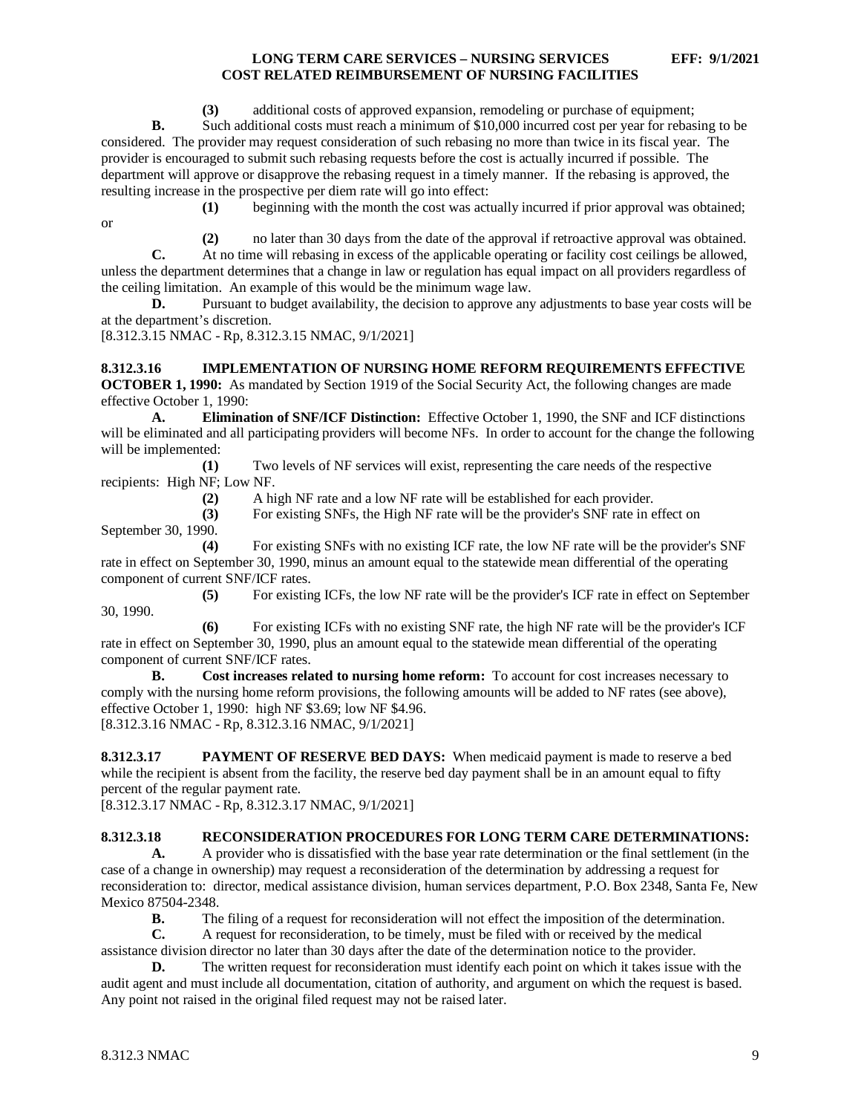**(3)** additional costs of approved expansion, remodeling or purchase of equipment;

**B.** Such additional costs must reach a minimum of \$10,000 incurred cost per year for rebasing to be considered. The provider may request consideration of such rebasing no more than twice in its fiscal year. The provider is encouraged to submit such rebasing requests before the cost is actually incurred if possible. The department will approve or disapprove the rebasing request in a timely manner. If the rebasing is approved, the resulting increase in the prospective per diem rate will go into effect:

or

**(1)** beginning with the month the cost was actually incurred if prior approval was obtained;

**(2)** no later than 30 days from the date of the approval if retroactive approval was obtained. **C.** At no time will rebasing in excess of the applicable operating or facility cost ceilings be allowed, unless the department determines that a change in law or regulation has equal impact on all providers regardless of the ceiling limitation. An example of this would be the minimum wage law.

**D.** Pursuant to budget availability, the decision to approve any adjustments to base year costs will be at the department's discretion.

[8.312.3.15 NMAC - Rp, 8.312.3.15 NMAC, 9/1/2021]

<span id="page-9-0"></span>**8.312.3.16 IMPLEMENTATION OF NURSING HOME REFORM REQUIREMENTS EFFECTIVE OCTOBER 1, 1990:** As mandated by Section 1919 of the Social Security Act, the following changes are made effective October 1, 1990:

**A. Elimination of SNF/ICF Distinction:** Effective October 1, 1990, the SNF and ICF distinctions will be eliminated and all participating providers will become NFs. In order to account for the change the following will be implemented:

**(1)** Two levels of NF services will exist, representing the care needs of the respective recipients: High NF; Low NF.

**(2)** A high NF rate and a low NF rate will be established for each provider.

**(3)** For existing SNFs, the High NF rate will be the provider's SNF rate in effect on September 30, 1990.

**(4)** For existing SNFs with no existing ICF rate, the low NF rate will be the provider's SNF rate in effect on September 30, 1990, minus an amount equal to the statewide mean differential of the operating component of current SNF/ICF rates.

**(5)** For existing ICFs, the low NF rate will be the provider's ICF rate in effect on September 30, 1990.

**(6)** For existing ICFs with no existing SNF rate, the high NF rate will be the provider's ICF rate in effect on September 30, 1990, plus an amount equal to the statewide mean differential of the operating component of current SNF/ICF rates.

**B. Cost increases related to nursing home reform:** To account for cost increases necessary to comply with the nursing home reform provisions, the following amounts will be added to NF rates (see above), effective October 1, 1990: high NF \$3.69; low NF \$4.96. [8.312.3.16 NMAC - Rp, 8.312.3.16 NMAC, 9/1/2021]

<span id="page-9-1"></span>**8.312.3.17 PAYMENT OF RESERVE BED DAYS:** When medicaid payment is made to reserve a bed while the recipient is absent from the facility, the reserve bed day payment shall be in an amount equal to fifty percent of the regular payment rate.

[8.312.3.17 NMAC - Rp, 8.312.3.17 NMAC, 9/1/2021]

#### <span id="page-9-2"></span>**8.312.3.18 RECONSIDERATION PROCEDURES FOR LONG TERM CARE DETERMINATIONS:**

**A.** A provider who is dissatisfied with the base year rate determination or the final settlement (in the case of a change in ownership) may request a reconsideration of the determination by addressing a request for reconsideration to: director, medical assistance division, human services department, P.O. Box 2348, Santa Fe, New Mexico 87504-2348.

**B.** The filing of a request for reconsideration will not effect the imposition of the determination.<br> **C.** A request for reconsideration, to be timely, must be filed with or received by the medical

**C.** A request for reconsideration, to be timely, must be filed with or received by the medical assistance division director no later than 30 days after the date of the determination notice to the provider.

**D.** The written request for reconsideration must identify each point on which it takes issue with the audit agent and must include all documentation, citation of authority, and argument on which the request is based. Any point not raised in the original filed request may not be raised later.